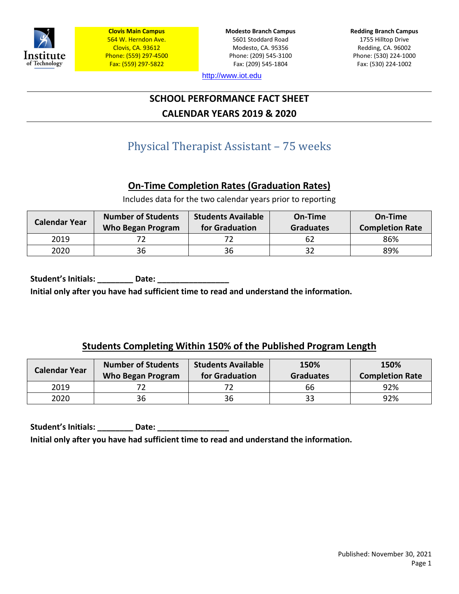

**Modesto Branch Campus** 5601 Stoddard Road Modesto, CA. 95356 Phone: (209) 545-3100 Fax: (209) 545-1804

**Redding Branch Campus** 1755 Hilltop Drive Redding, CA. 96002 Phone: (530) 224-1000 Fax: (530) 224-1002

[http://www.iot.edu](http://www.iot.edu/)

# **SCHOOL PERFORMANCE FACT SHEET CALENDAR YEARS 2019 & 2020**

# Physical Therapist Assistant – 75 weeks

# **On-Time Completion Rates (Graduation Rates)**

Includes data for the two calendar years prior to reporting

| <b>Calendar Year</b> | <b>Number of Students</b><br><b>Who Began Program</b> | <b>Students Available</b><br>for Graduation | On-Time<br><b>Graduates</b> | On-Time<br><b>Completion Rate</b> |
|----------------------|-------------------------------------------------------|---------------------------------------------|-----------------------------|-----------------------------------|
| 2019                 |                                                       |                                             | 62                          | 86%                               |
| 2020                 | 36                                                    | 36                                          | 32                          | 89%                               |

Student's Initials: **\_\_\_\_\_\_\_\_\_\_** Date: \_\_\_\_\_ **Initial only after you have had sufficient time to read and understand the information.**

## **Students Completing Within 150% of the Published Program Length**

| <b>Calendar Year</b> | <b>Number of Students</b><br><b>Who Began Program</b> | <b>Students Available</b><br>for Graduation | 150%<br><b>Graduates</b> | 150%<br><b>Completion Rate</b> |
|----------------------|-------------------------------------------------------|---------------------------------------------|--------------------------|--------------------------------|
| 2019                 |                                                       |                                             | 66                       | 92%                            |
| 2020                 | 36                                                    | 36                                          | 33                       | 92%                            |

Student's Initials: \_\_\_\_\_\_\_\_\_ Date: \_\_\_\_\_\_ **Initial only after you have had sufficient time to read and understand the information.**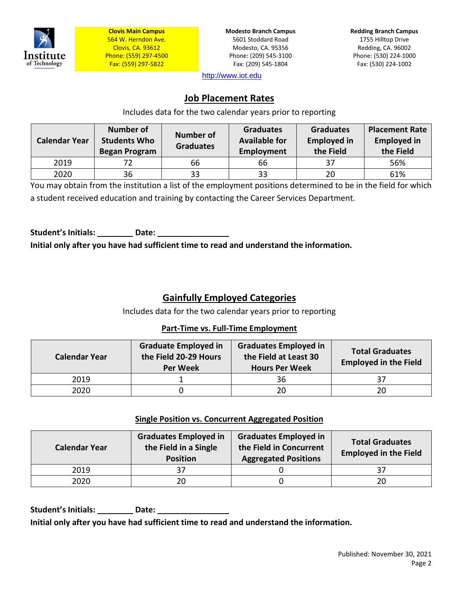

**Modesto Branch Campus** 5601 Stoddard Road Modesto, CA. 95356 Phone: (209) 545-3100 Fax: (209) 545-1804

**Redding Branch Campus** 1755 Hilltop Drive Redding, CA. 96002 Phone: (530) 224-1000 Fax: (530) 224-1002

[http://www.iot.edu](http://www.iot.edu/)

## **Job Placement Rates**

Includes data for the two calendar years prior to reporting

| <b>Calendar Year</b> | <b>Number of</b><br><b>Students Who</b><br><b>Began Program</b> | <b>Number of</b><br><b>Graduates</b> | <b>Graduates</b><br><b>Available for</b><br>Employment | <b>Graduates</b><br><b>Employed in</b><br>the Field | <b>Placement Rate</b><br><b>Employed in</b><br>the Field |
|----------------------|-----------------------------------------------------------------|--------------------------------------|--------------------------------------------------------|-----------------------------------------------------|----------------------------------------------------------|
| 2019                 |                                                                 | 66                                   | 66                                                     | 37                                                  | 56%                                                      |
| 2020                 | 36                                                              | 33                                   | 33                                                     | 20                                                  | 61%                                                      |

You may obtain from the institution a list of the employment positions determined to be in the field for which a student received education and training by contacting the Career Services Department.

Student's Initials: **Date:** Date: **Initial only after you have had sufficient time to read and understand the information.**

# **Gainfully Employed Categories**

Includes data for the two calendar years prior to reporting

#### **Part-Time vs. Full-Time Employment**

| <b>Calendar Year</b> | <b>Graduate Employed in</b><br>the Field 20-29 Hours<br><b>Per Week</b> | <b>Graduates Employed in</b><br>the Field at Least 30<br><b>Hours Per Week</b> | <b>Total Graduates</b><br><b>Employed in the Field</b> |
|----------------------|-------------------------------------------------------------------------|--------------------------------------------------------------------------------|--------------------------------------------------------|
| 2019                 |                                                                         | 36                                                                             |                                                        |
| 2020                 |                                                                         | 20                                                                             | 20                                                     |

#### **Single Position vs. Concurrent Aggregated Position**

| <b>Calendar Year</b> | <b>Graduates Employed in</b><br>the Field in a Single<br><b>Position</b> | <b>Graduates Employed in</b><br>the Field in Concurrent<br><b>Aggregated Positions</b> | <b>Total Graduates</b><br><b>Employed in the Field</b> |
|----------------------|--------------------------------------------------------------------------|----------------------------------------------------------------------------------------|--------------------------------------------------------|
| 2019                 |                                                                          |                                                                                        |                                                        |
| 2020                 | 20                                                                       |                                                                                        |                                                        |

**Student's Initials: \_\_\_\_\_\_\_\_ Date: \_\_\_\_\_\_\_\_\_\_\_\_\_\_\_\_ Initial only after you have had sufficient time to read and understand the information.**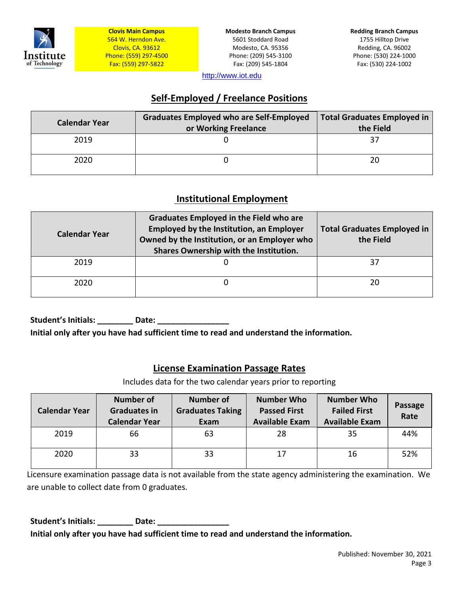

**Modesto Branch Campus** 5601 Stoddard Road Modesto, CA. 95356 Phone: (209) 545-3100 Fax: (209) 545-1804

**Redding Branch Campus** 1755 Hilltop Drive Redding, CA. 96002 Phone: (530) 224-1000 Fax: (530) 224-1002

[http://www.iot.edu](http://www.iot.edu/)

## **Self-Employed / Freelance Positions**

| <b>Calendar Year</b> | <b>Graduates Employed who are Self-Employed</b><br>or Working Freelance | <b>Total Graduates Employed in</b><br>the Field |
|----------------------|-------------------------------------------------------------------------|-------------------------------------------------|
| 2019                 |                                                                         |                                                 |
| 2020                 |                                                                         | 20                                              |

## **Institutional Employment**

| <b>Calendar Year</b> | <b>Graduates Employed in the Field who are</b><br><b>Employed by the Institution, an Employer</b><br>Owned by the Institution, or an Employer who<br>Shares Ownership with the Institution. | <b>Total Graduates Employed in</b><br>the Field |
|----------------------|---------------------------------------------------------------------------------------------------------------------------------------------------------------------------------------------|-------------------------------------------------|
| 2019                 |                                                                                                                                                                                             | 37                                              |
| 2020                 |                                                                                                                                                                                             | 20                                              |

Student's Initials: **Example 20 Date: Date:** 

**Initial only after you have had sufficient time to read and understand the information.**

## **License Examination Passage Rates**

Includes data for the two calendar years prior to reporting

| <b>Calendar Year</b> | <b>Number of</b><br><b>Graduates in</b><br><b>Calendar Year</b> | <b>Number of</b><br><b>Graduates Taking</b><br>Exam | <b>Number Who</b><br><b>Passed First</b><br><b>Available Exam</b> | <b>Number Who</b><br><b>Failed First</b><br><b>Available Exam</b> | Passage<br>Rate |
|----------------------|-----------------------------------------------------------------|-----------------------------------------------------|-------------------------------------------------------------------|-------------------------------------------------------------------|-----------------|
| 2019                 | 66                                                              | 63                                                  | 28                                                                | 35                                                                | 44%             |
| 2020                 | 33                                                              | 33                                                  | 17                                                                | 16                                                                | 52%             |

Licensure examination passage data is not available from the state agency administering the examination. We are unable to collect date from 0 graduates.

Student's Initials: \_\_\_\_\_\_\_\_\_ Date: \_\_\_\_\_\_\_\_ **Initial only after you have had sufficient time to read and understand the information.**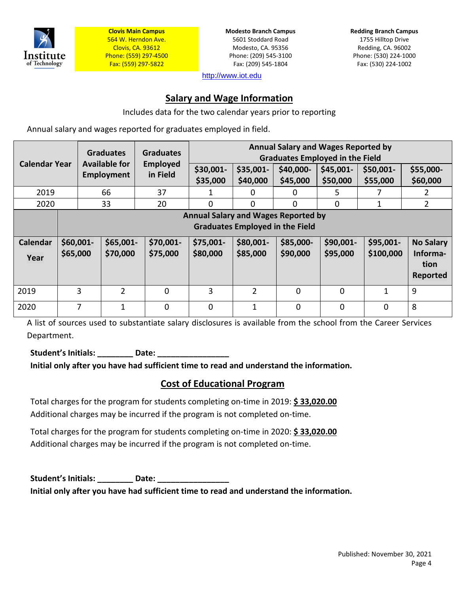

**Modesto Branch Campus** 5601 Stoddard Road Modesto, CA. 95356 Phone: (209) 545-3100 Fax: (209) 545-1804

**Redding Branch Campus** 1755 Hilltop Drive Redding, CA. 96002 Phone: (530) 224-1000 Fax: (530) 224-1002

[http://www.iot.edu](http://www.iot.edu/)

## **Salary and Wage Information**

Includes data for the two calendar years prior to reporting

Annual salary and wages reported for graduates employed in field.

| <b>Annual Salary and Wages Reported by</b><br><b>Graduates</b><br><b>Graduates</b><br><b>Graduates Employed in the Field</b><br><b>Calendar Year</b><br>Available for<br><b>Employed</b> |                                                                                                                                                                                                                                                                                               |                   |              |                       |                       |                                                  |                        |                       |                       |
|------------------------------------------------------------------------------------------------------------------------------------------------------------------------------------------|-----------------------------------------------------------------------------------------------------------------------------------------------------------------------------------------------------------------------------------------------------------------------------------------------|-------------------|--------------|-----------------------|-----------------------|--------------------------------------------------|------------------------|-----------------------|-----------------------|
|                                                                                                                                                                                          |                                                                                                                                                                                                                                                                                               | <b>Employment</b> | in Field     | \$30,001-<br>\$35,000 | \$35,001-<br>\$40,000 | \$40,000-<br>\$45,000                            | $$45,001-$<br>\$50,000 | \$50,001-<br>\$55,000 | \$55,000-<br>\$60,000 |
| 2019                                                                                                                                                                                     |                                                                                                                                                                                                                                                                                               | 66                | 37           |                       | 0                     | $\Omega$                                         | 5.                     |                       | 2                     |
| 2020                                                                                                                                                                                     |                                                                                                                                                                                                                                                                                               | 33                | 20           | $\Omega$              | $\Omega$              | $\Omega$                                         | 0                      | 1                     | 2                     |
| <b>Calendar</b><br>Year                                                                                                                                                                  | <b>Annual Salary and Wages Reported by</b><br><b>Graduates Employed in the Field</b><br>\$60,001-<br>\$65,001-<br>\$80,001-<br>\$90,001-<br>\$95,001-<br>\$70,001-<br>\$75,001-<br>\$85,000-<br>\$100,000<br>\$65,000<br>\$75,000<br>\$80,000<br>\$85,000<br>\$90,000<br>\$95,000<br>\$70,000 |                   |              |                       |                       | <b>No Salary</b><br>Informa-<br>tion<br>Reported |                        |                       |                       |
| 2019                                                                                                                                                                                     | 3                                                                                                                                                                                                                                                                                             | $\mathcal{P}$     | $\mathbf{0}$ | 3                     | 2                     | $\mathbf 0$                                      | $\Omega$               | 1                     | 9                     |
| 2020                                                                                                                                                                                     | 7                                                                                                                                                                                                                                                                                             | 1                 | $\mathbf 0$  | $\mathbf 0$           | 1                     | 0                                                | $\mathbf 0$            | 0                     | 8                     |

A list of sources used to substantiate salary disclosures is available from the school from the Career Services Department.

## Student's Initials: **Date: Date:**

**Initial only after you have had sufficient time to read and understand the information.**

## **Cost of Educational Program**

Total charges for the program for students completing on-time in 2019: **\$ 33,020.00** Additional charges may be incurred if the program is not completed on-time.

Total charges for the program for students completing on-time in 2020: **\$ 33,020.00** Additional charges may be incurred if the program is not completed on-time.

**Student's Initials: \_\_\_\_\_\_\_\_ Date: \_\_\_\_\_\_\_\_\_\_\_\_\_\_\_\_ Initial only after you have had sufficient time to read and understand the information.**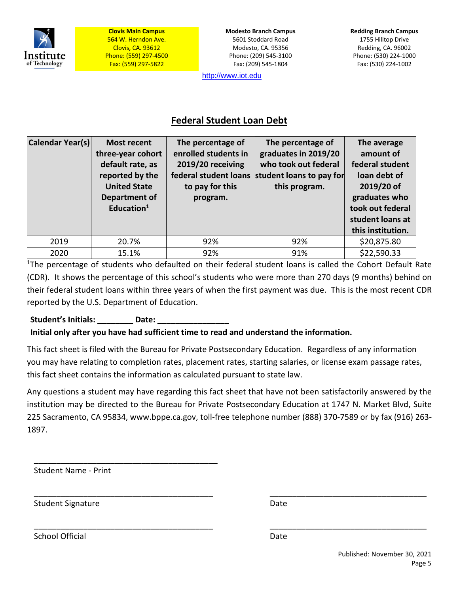

**Modesto Branch Campus** 5601 Stoddard Road Modesto, CA. 95356 Phone: (209) 545-3100 Fax: (209) 545-1804

[http://www.iot.edu](http://www.iot.edu/)

## **Federal Student Loan Debt**

| Calendar Year(s) | <b>Most recent</b><br>three-year cohort<br>default rate, as<br>reported by the<br><b>United State</b><br>Department of<br>Education $1$ | The percentage of<br>enrolled students in<br>2019/20 receiving<br>federal student loans<br>to pay for this<br>program. | The percentage of<br>graduates in 2019/20<br>who took out federal<br>student loans to pay for<br>this program. | The average<br>amount of<br>federal student<br>loan debt of<br>2019/20 of<br>graduates who<br>took out federal<br>student loans at<br>this institution. |
|------------------|-----------------------------------------------------------------------------------------------------------------------------------------|------------------------------------------------------------------------------------------------------------------------|----------------------------------------------------------------------------------------------------------------|---------------------------------------------------------------------------------------------------------------------------------------------------------|
| 2019             | 20.7%                                                                                                                                   | 92%                                                                                                                    | 92%                                                                                                            | \$20,875.80                                                                                                                                             |
| 2020             | 15.1%                                                                                                                                   | 92%                                                                                                                    | 91%                                                                                                            | \$22,590.33                                                                                                                                             |

<sup>1</sup>The percentage of students who defaulted on their federal student loans is called the Cohort Default Rate (CDR). It shows the percentage of this school's students who were more than 270 days (9 months) behind on their federal student loans within three years of when the first payment was due. This is the most recent CDR reported by the U.S. Department of Education.

#### Student's Initials: **Date:** Date:

#### **Initial only after you have had sufficient time to read and understand the information.**

This fact sheet is filed with the Bureau for Private Postsecondary Education. Regardless of any information you may have relating to completion rates, placement rates, starting salaries, or license exam passage rates, this fact sheet contains the information as calculated pursuant to state law.

Any questions a student may have regarding this fact sheet that have not been satisfactorily answered by the institution may be directed to the Bureau for Private Postsecondary Education at 1747 N. Market Blvd, Suite 225 Sacramento, CA 95834, [www.bppe.ca.gov,](http://www.bppe.ca.gov/) toll-free telephone number (888) 370-7589 or by fax (916) 263- 1897.

\_\_\_\_\_\_\_\_\_\_\_\_\_\_\_\_\_\_\_\_\_\_\_\_\_\_\_\_\_\_\_\_\_\_\_\_\_\_\_\_ \_\_\_\_\_\_\_\_\_\_\_\_\_\_\_\_\_\_\_\_\_\_\_\_\_\_\_\_\_\_\_\_\_\_\_

\_\_\_\_\_\_\_\_\_\_\_\_\_\_\_\_\_\_\_\_\_\_\_\_\_\_\_\_\_\_\_\_\_\_\_\_\_\_\_\_ \_\_\_\_\_\_\_\_\_\_\_\_\_\_\_\_\_\_\_\_\_\_\_\_\_\_\_\_\_\_\_\_\_\_\_

Student Name - Print

\_\_\_\_\_\_\_\_\_\_\_\_\_\_\_\_\_\_\_\_\_\_\_\_\_\_\_\_\_\_\_\_\_\_\_\_\_\_\_\_\_

Student Signature Date Date

School Official Date Date Date Date Date Date Date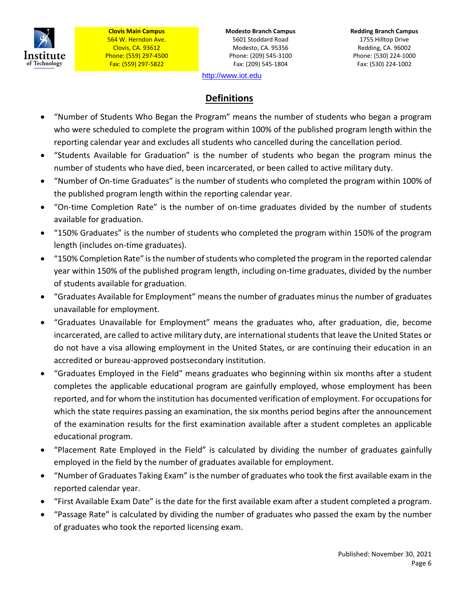

**Modesto Branch Campus** 5601 Stoddard Road Modesto, CA. 95356 Phone: (209) 545-3100 Fax: (209) 545-1804

**Redding Branch Campus** 1755 Hilltop Drive Redding, CA. 96002 Phone: (530) 224-1000 Fax: (530) 224-1002

[http://www.iot.edu](http://www.iot.edu/)

# **Definitions**

- "Number of Students Who Began the Program" means the number of students who began a program who were scheduled to complete the program within 100% of the published program length within the reporting calendar year and excludes all students who cancelled during the cancellation period.
- "Students Available for Graduation" is the number of students who began the program minus the number of students who have died, been incarcerated, or been called to active military duty.
- "Number of On-time Graduates" is the number of students who completed the program within 100% of the published program length within the reporting calendar year.
- "On-time Completion Rate" is the number of on-time graduates divided by the number of students available for graduation.
- "150% Graduates" is the number of students who completed the program within 150% of the program length (includes on-time graduates).
- "150% Completion Rate" is the number of students who completed the program in the reported calendar year within 150% of the published program length, including on-time graduates, divided by the number of students available for graduation.
- "Graduates Available for Employment" means the number of graduates minus the number of graduates unavailable for employment.
- "Graduates Unavailable for Employment" means the graduates who, after graduation, die, become incarcerated, are called to active military duty, are international students that leave the United States or do not have a visa allowing employment in the United States, or are continuing their education in an accredited or bureau-approved postsecondary institution.
- "Graduates Employed in the Field" means graduates who beginning within six months after a student completes the applicable educational program are gainfully employed, whose employment has been reported, and for whom the institution has documented verification of employment. For occupations for which the state requires passing an examination, the six months period begins after the announcement of the examination results for the first examination available after a student completes an applicable educational program.
- "Placement Rate Employed in the Field" is calculated by dividing the number of graduates gainfully employed in the field by the number of graduates available for employment.
- "Number of Graduates Taking Exam" is the number of graduates who took the first available exam in the reported calendar year.
- "First Available Exam Date" is the date for the first available exam after a student completed a program.
- "Passage Rate" is calculated by dividing the number of graduates who passed the exam by the number of graduates who took the reported licensing exam.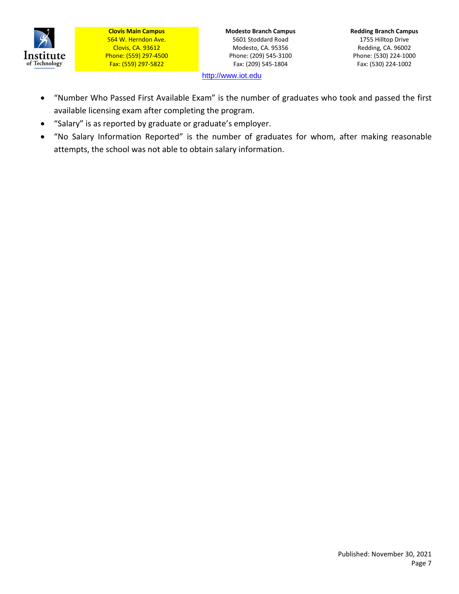

**Modesto Branch Campus** 5601 Stoddard Road Modesto, CA. 95356 Phone: (209) 545-3100 Fax: (209) 545-1804

**Redding Branch Campus** 1755 Hilltop Drive Redding, CA. 96002 Phone: (530) 224-1000 Fax: (530) 224-1002

[http://www.iot.edu](http://www.iot.edu/)

- "Number Who Passed First Available Exam" is the number of graduates who took and passed the first available licensing exam after completing the program.
- "Salary" is as reported by graduate or graduate's employer.
- "No Salary Information Reported" is the number of graduates for whom, after making reasonable attempts, the school was not able to obtain salary information.